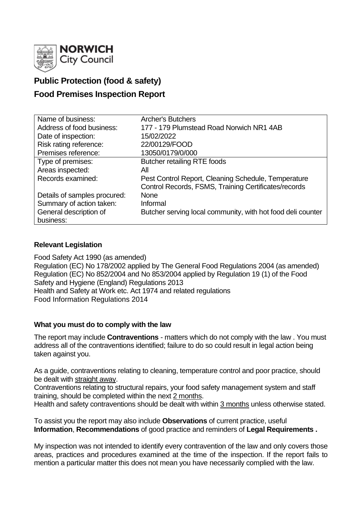

# **Public Protection (food & safety)**

# **Food Premises Inspection Report**

| Name of business:            | <b>Archer's Butchers</b>                                    |
|------------------------------|-------------------------------------------------------------|
| Address of food business:    | 177 - 179 Plumstead Road Norwich NR1 4AB                    |
| Date of inspection:          | 15/02/2022                                                  |
| Risk rating reference:       | 22/00129/FOOD                                               |
| Premises reference:          | 13050/0179/0/000                                            |
| Type of premises:            | <b>Butcher retailing RTE foods</b>                          |
| Areas inspected:             | All                                                         |
| Records examined:            | Pest Control Report, Cleaning Schedule, Temperature         |
|                              | Control Records, FSMS, Training Certificates/records        |
| Details of samples procured: | <b>None</b>                                                 |
| Summary of action taken:     | Informal                                                    |
| General description of       | Butcher serving local community, with hot food deli counter |
| business:                    |                                                             |

## **Relevant Legislation**

Food Safety Act 1990 (as amended) Regulation (EC) No 178/2002 applied by The General Food Regulations 2004 (as amended) Regulation (EC) No 852/2004 and No 853/2004 applied by Regulation 19 (1) of the Food Safety and Hygiene (England) Regulations 2013 Health and Safety at Work etc. Act 1974 and related regulations Food Information Regulations 2014

### **What you must do to comply with the law**

The report may include **Contraventions** - matters which do not comply with the law . You must address all of the contraventions identified; failure to do so could result in legal action being taken against you.

As a guide, contraventions relating to cleaning, temperature control and poor practice, should be dealt with straight away.

Contraventions relating to structural repairs, your food safety management system and staff training, should be completed within the next 2 months.

Health and safety contraventions should be dealt with within 3 months unless otherwise stated.

To assist you the report may also include **Observations** of current practice, useful **Information**, **Recommendations** of good practice and reminders of **Legal Requirements .**

My inspection was not intended to identify every contravention of the law and only covers those areas, practices and procedures examined at the time of the inspection. If the report fails to mention a particular matter this does not mean you have necessarily complied with the law.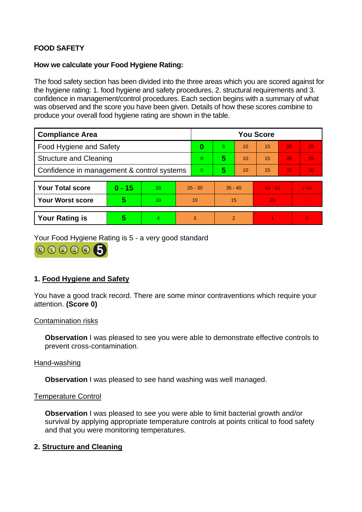## **FOOD SAFETY**

### **How we calculate your Food Hygiene Rating:**

The food safety section has been divided into the three areas which you are scored against for the hygiene rating: 1. food hygiene and safety procedures, 2. structural requirements and 3. confidence in management/control procedures. Each section begins with a summary of what was observed and the score you have been given. Details of how these scores combine to produce your overall food hygiene rating are shown in the table.

| <b>Compliance Area</b>                     |          |    |           | <b>You Score</b> |               |    |           |    |          |  |  |
|--------------------------------------------|----------|----|-----------|------------------|---------------|----|-----------|----|----------|--|--|
| <b>Food Hygiene and Safety</b>             |          |    |           | 0                | 5.            | 10 | 15        | 20 | 25       |  |  |
| <b>Structure and Cleaning</b>              |          |    |           | 0                | 5             | 10 | 15        | 20 | 25       |  |  |
| Confidence in management & control systems |          |    |           | 0                | 5             | 10 | 15        | 20 | 30       |  |  |
|                                            |          |    |           |                  |               |    |           |    |          |  |  |
| <b>Your Total score</b>                    | $0 - 15$ | 20 | $25 - 30$ |                  | $35 - 40$     |    | $45 - 50$ |    | > 50     |  |  |
| <b>Your Worst score</b>                    | 5        | 10 | 10        |                  | 15            |    | 20        |    |          |  |  |
|                                            |          |    |           |                  |               |    |           |    |          |  |  |
| <b>Your Rating is</b>                      | 5        | 4  | 3         |                  | $\mathcal{P}$ |    |           |    | $\Omega$ |  |  |

Your Food Hygiene Rating is 5 - a very good standard

000005

## **1. Food Hygiene and Safety**

You have a good track record. There are some minor contraventions which require your attention. **(Score 0)**

#### Contamination risks

**Observation** I was pleased to see you were able to demonstrate effective controls to prevent cross-contamination.

#### Hand-washing

**Observation** I was pleased to see hand washing was well managed.

#### Temperature Control

**Observation** I was pleased to see you were able to limit bacterial growth and/or survival by applying appropriate temperature controls at points critical to food safety and that you were monitoring temperatures.

### **2. Structure and Cleaning**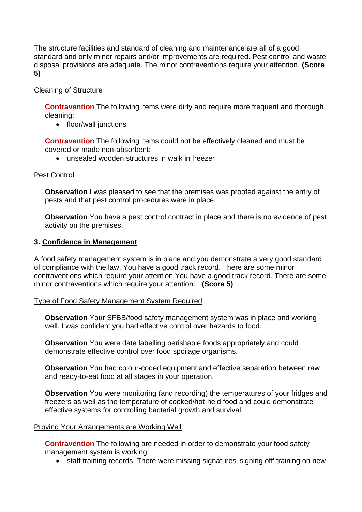The structure facilities and standard of cleaning and maintenance are all of a good standard and only minor repairs and/or improvements are required. Pest control and waste disposal provisions are adequate. The minor contraventions require your attention. **(Score 5)**

## Cleaning of Structure

**Contravention** The following items were dirty and require more frequent and thorough cleaning:

• floor/wall junctions

**Contravention** The following items could not be effectively cleaned and must be covered or made non-absorbent:

• unsealed wooden structures in walk in freezer

### Pest Control

**Observation** I was pleased to see that the premises was proofed against the entry of pests and that pest control procedures were in place.

**Observation** You have a pest control contract in place and there is no evidence of pest activity on the premises.

### **3. Confidence in Management**

A food safety management system is in place and you demonstrate a very good standard of compliance with the law. You have a good track record. There are some minor contraventions which require your attention.You have a good track record. There are some minor contraventions which require your attention. **(Score 5)**

### Type of Food Safety Management System Required

**Observation** Your SFBB/food safety management system was in place and working well. I was confident you had effective control over hazards to food.

**Observation** You were date labelling perishable foods appropriately and could demonstrate effective control over food spoilage organisms.

**Observation** You had colour-coded equipment and effective separation between raw and ready-to-eat food at all stages in your operation.

**Observation** You were monitoring (and recording) the temperatures of your fridges and freezers as well as the temperature of cooked/hot-held food and could demonstrate effective systems for controlling bacterial growth and survival.

### Proving Your Arrangements are Working Well

**Contravention** The following are needed in order to demonstrate your food safety management system is working:

• staff training records. There were missing signatures 'signing off' training on new